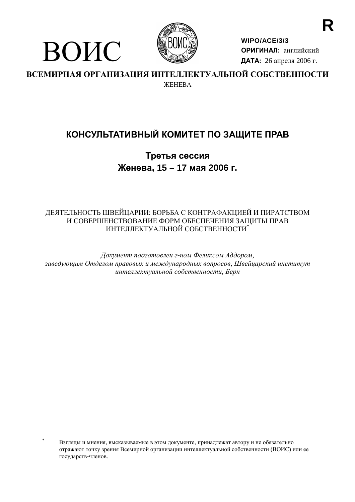

ВОИС

WIPO/ACE/3/3 ОРИГИНАЛ: английский ДАТА: 26 апреля 2006 г.

ВСЕМИРНАЯ ОРГАНИЗАЦИЯ ИНТЕЛЛЕКТУАЛЬНОЙ СОБСТВЕННОСТИ **ЖЕНЕВА** 

# КОНСУЛЬТАТИВНЫЙ КОМИТЕТ ПО ЗАЩИТЕ ПРАВ

Третья сессия Женева, 15 - 17 мая 2006 г.

# ДЕЯТЕЛЬНОСТЬ ШВЕЙЦАРИИ: БОРЬБА С КОНТРАФАКЦИЕЙ И ПИРАТСТВОМ И СОВЕРШЕНСТВОВАНИЕ ФОРМ ОБЕСПЕЧЕНИЯ ЗАШИТЫ ПРАВ ИНТЕЛЛЕКТУАЛЬНОЙ СОБСТВЕННОСТИ\*

Документ подготовлен г-ном Феликсом Аддором, заведующим Отделом правовых и международных вопросов, Швейцарский институт интеллектуальной собственности, Берн

Взгляды и мнения, высказываемые в этом документе, принадлежат автору и не обязательно отражают точку зрения Всемирной организации интеллектуальной собственности (ВОИС) или ее государств-членов.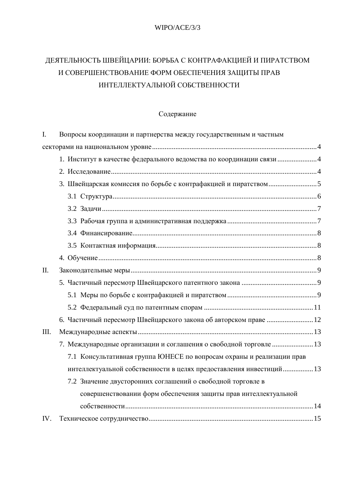# WIPO/ACE/3/3

# ДЕЯТЕЛЬНОСТЬ ШВЕЙЦАРИИ: БОРЬБА С КОНТРАФАКЦИЕЙ И ПИРАТСТВОМ И СОВЕРШЕНСТВОВАНИЕ ФОРМ ОБЕСПЕЧЕНИЯ ЗАЩИТЫ ПРАВ ИНТЕЛЛЕКТУАЛЬНОЙ СОБСТВЕННОСТИ

# Содержание

| I.   | Вопросы координации и партнерства между государственным и частным     |
|------|-----------------------------------------------------------------------|
|      |                                                                       |
|      |                                                                       |
|      |                                                                       |
|      |                                                                       |
|      |                                                                       |
|      |                                                                       |
|      |                                                                       |
|      |                                                                       |
|      |                                                                       |
|      |                                                                       |
| II.  |                                                                       |
|      |                                                                       |
|      |                                                                       |
|      |                                                                       |
|      | 6. Частичный пересмотр Швейцарского закона об авторском праве  12     |
| III. |                                                                       |
|      | 7. Международные организации и соглашения о свободной торговле  13    |
|      | 7.1 Консультативная группа ЮНЕСЕ по вопросам охраны и реализации прав |
|      | интеллектуальной собственности в целях предоставления инвестиций 13   |
|      | 7.2 Значение двусторонних соглашений о свободной торговле в           |
|      | совершенствовании форм обеспечения защиты прав интеллектуальной       |
|      |                                                                       |
| IV.  |                                                                       |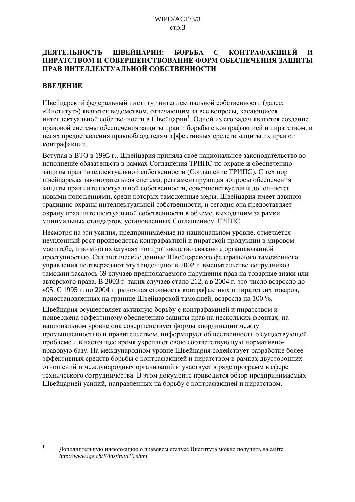#### ЛЕЯТЕЛЬНОСТЬ ШВЕЙЦАРИИ: БОРЬБА **КОНТРАФАКЦИЕЙ**  $\mathbf{C}$  $\boldsymbol{\mathsf{M}}$ ПИРАТСТВОМ И СОВЕРШЕНСТВОВАНИЕ ФОРМ ОБЕСПЕЧЕНИЯ ЗАЩИТЫ ПРАВ ИНТЕЛЛЕКТУАЛЬНОЙ СОБСТВЕННОСТИ

# **ВВЕЛЕНИЕ**

 $\overline{1}$ 

Швейцарский федеральный институт интеллектцальной собственности (далее: «Институт») является ведомством, отвечающим за все вопросы, касающиеся интеллектуальной собственности в Швейцарии<sup>1</sup>. Одной из его задач является создание правовой системы обеспечения защиты прав и борьбы с контрафакцией и пиратством, в целях предоставления правообладателям эффективных средств защиты их прав от контрафакции.

Вступая в ВТО в 1995 г., Щвейцария приняла свое национальное законодательство во исполнение обязательств в рамках Соглашения ТРИПС по охране и обеспечению защиты прав интеллектуальной собственности (Соглашение ТРИПС). С тех пор швейцарская законодательная система, регламентирующая вопросы обеспечения защиты прав интеллектуальной собственности, совершенствуется и дополняется новыми положениями, среди которых таможенные меры. Швейцария имеет давнюю традицию охраны интеллектуальной собственности, и сегодня она предоставляет охрану прав интеллектуальной собственности в объеме, выходящим за рамки минимальных стандартов, установленных Соглашением ТРИПС.

Несмотря на эти усилия, предпринимаемые на национальном уровне, отмечается неуклонный рост произволства контрафактной и пиратской пролукции в мировом масштабе, и во многих случаях это производство связано с организованной преступностью. Статистические данные Швейцарского федерального таможенного управления подтверждают эту тенденцию: в 2002 г. вмешательство сотрудников таможни касалось 69 случаев предполагаемого нарушения прав на товарные знаки или авторского права. В 2003 г. таких случаев стало 212, а в 2004 г. это число возросло до 495. С 1995 г. по 2004 г. рыночная стоимость контрафактных и пиратстких товаров, приостановленных на границе Швейцарской таможней, возросла на 100 %.

Швейцария осуществляет активную борьбу с контрафакцией и пиратством и привержена эффектиному обеспечению зашиты прав на нескольких фронтах: на национальном уровне она совершенствует формы координации между промышленностью и правительством, информирует общественность о существующей проблеме и в настоящее время укрепляет свою соответствующую нормативноправовую базу. На международном уровне Швейцария содействует разработке более эффективных средств борьбы с контрафакцией и пиратством в рамках двусторонних отношений и международных организаций и участвует в ряде программ в сфере технического сотрудничества. В этом документе приводится обзор предпринимаемых Швейцарией усилий, направленных на борьбу с контрафакцией и пиратством.

Дополнительную информацию о правовом статусе Института можно получить на сайте http://www.ige.ch/E/institut/i10.shtm.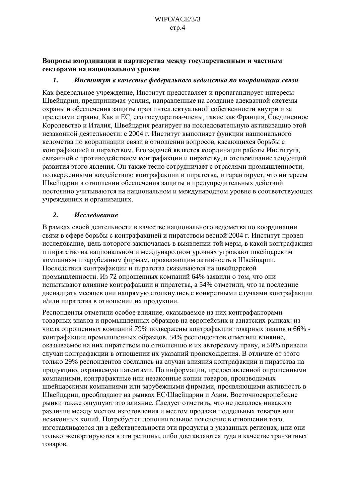<span id="page-3-0"></span>Вопросы координации и партнерства между государственным и частным секторами на национальном уровне

#### 1. Институт в качестве федерального ведомства по координации связи

Как федеральное учреждение, Институт представляет и пропагандирует интересы Швейцарии, предпринимая усилия, направленные на создание адекватной системы охраны и обеспечения защиты прав интеллектуальной собственности внутри и за пределами страны. Как и ЕС, его государства-члены, такие как Франция, Соединенное Королевство и Италия, Швейцария реагирует на последовательную активизацию этой незаконной деятельности: с 2004 г. Институт выполняет функции национального веломства по координации связи в отношении вопросов, касающихся борьбы с контрафакцией и пиратством. Его задачей является координация работы Института, связанной с противодействием контрафакции и пиратству, и отслеживание тенденций развития этого явления. Он также тесно сотрудничает с отраслями промышленности, подверженными воздействию контрафакции и пиратства, и гарантирует, что интересы Швейцарии в отношении обеспечения защиты и предупредительных действий постоянно учитываются на национальном и международном уровне в соответствующих учреждениях и организациях.

### $\overline{2}$ . Исследование

В рамках своей деятельности в качестве национального ведомства по координации связи в сфере борьбы с контрафакцией и пиратством весной 2004 г. Институт провел исследование, цель которого заключалась в выявлении той меры, в какой контрафакция и пиратство на национальном и международном уровнях угрожают швейцарским компаниям и зарубежным фирмам, проявляющим активность в Швейцарии. Последствия контрафакции и пиратства сказываются на швейцарской промышленности. Из 72 опрошенных компаний 64% заявили о том, что они испытывают влияние контрафакции и пиратства, а 54% отметили, что за последние двенадцать месяцев они напрямую столкнулись с конкретными случаями контрафакции и/или пиратства в отношении их продукции.

Респонденты отметили особое влияние, оказываемое на них контрафакторами товарных знаков и промышленных образцов на европейских и азиатских рынках: из числа опрошенных компаний 79% подвержены контрафакции товарных знаков и 66% контрафакции промышленных образцов. 54% респондентов отметили влияние, оказываемое на них пиратством по отношению к их авторскому праву, и 50% привели случаи контрафакции в отношении их указаний происхождения. В отличие от этого только 29% респондентов сослались на случаи влияния контрафакции и пиратства на продукцию, охраняемую патентами. По информации, предоставленной опрошенными компаниями, контрафактные или незаконные копии товаров, производимых швейцарскими компаниями или зарубежными фирмами, проявляющими активность в Швейцарии, преобладают на рынках ЕС/Швейцарии и Азии. Восточноевропейские рынки также ошушуют это влияние. Следует отметить, что не делалось никакого различия между местом изготовления и местом продажи поддельных товаров или незаконных копий. Потребуется дополнительное пояснение в отношении того, изготавливаются ли в действительности эти продукты в указанных регионах, или они только экспортируются в эти регионы, либо доставляются туда в качестве транзитных товаров.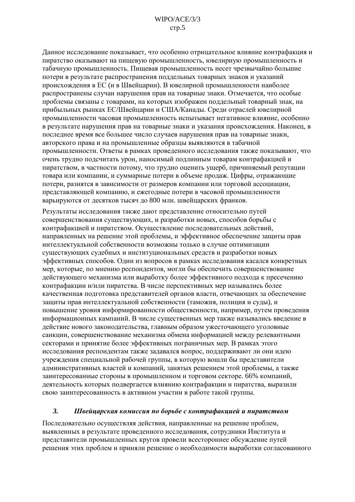<span id="page-4-0"></span>Данное исследование показывает, что особенно отрицательное влияние контрафакция и пиратство оказывают на пищевую промышленность, ювелирную промышленность и табачную промышленность. Пищевая промышленность несет чрезвычайно большие потери в результате распространения поддельных товарных знаков и указаний происхождения в ЕС (и в Швейцарии). В ювелирной промышленности наиболее распространены случаи нарушения прав на товарные знаки. Отмечается, что особые проблемы связаны с товарами, на которых изображен поллельный товарный знак, на прибыльных рынках ЕС/Швейцарии и США/Канады. Среди отраслей ювелирной промышленности часовая промышленность испытывает негативное влияние, особенно в результате нарушения прав на товарные знаки и указания происхождения. Наконец, в последнее время все большее число случаев нарушения прав на товарные знаки, авторского права и на промышленные образцы выявляются в табачной промышленности. Ответы в рамках проведенного исследования также показывают, что очень трудно подсчитать урон, наносимый подлинным товарам контрафакцией и пиратством, в частности потому, что трудно оценить ущерб, причиняемый репутации товара или компании, и суммарные потери в объеме продаж. Цифры, отражающие потери, разнятся в зависимости от размеров компании или торговой ассоциации, представляющей компанию, и ежегодные потери в часовой промышленности варьируются от десятков тысяч до 800 млн. швейцарских франков.

Результаты исследования также дают представление относительно путей совершенствования существующих, и разработки новых, способов борьбы с контрафакцией и пиратством. Осуществление последовательных действий, направленных на решение этой проблемы, и эффективное обеспечение защиты прав интеллектуальной собственности возможны только в случае оптимизации существующих судебных и институциональных средств и разработки новых эффективных способов. Один из вопросов в рамках исследования касался конкретных мер, которые, по мнению респондентов, могли бы обеспечить совершенствование действующего механизма или выработку более эффективного подхода к пресечению контрафакции и/или пиратства. В числе перспективных мер назывались более качественная подготовка представителей органов власти, отвечающих за обеспечение защиты прав интеллектуальной собственности (таможня, полиция и суды), и повышение уровня информированности общественности, например, путем проведения информационных кампаний. В числе существенных мер также назывались введение в действие нового законодательства, главным образом ужесточающего уголовные санкции, совершенствование механизма обмена информацией между релевантными секторами и принятие более эффективных пограничных мер. В рамках этого исследования респондентам также задавался вопрос, поддерживают ли они идею учреждения специальной рабочей группы, в которую вошли бы представители административных властей и компаний, занятых решением этой проблемы, а также заинтересованные стороны в промышленном и торговом секторе. 66% компаний, деятельность которых подвергается влиянию контрафакции и пиратства, выразили свою заинтересованность в активном участии в работе такой группы.

### $\overline{3}$ . Швейцарская комиссия по борьбе с контрафакцией и пиратством

Последовательно осуществляя действия, направленные на решение проблем, выявленных в результате проведенного исследования, сотрудники Института и представители промышленных кругов провели всестороннее обсуждение путей решения этих проблем и приняли решение о необходимости выработки согласованного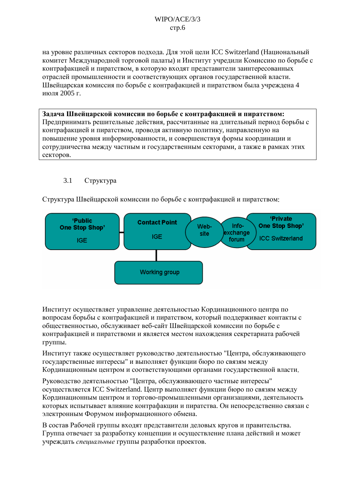<span id="page-5-0"></span>на уровне различных секторов подхода. Для этой цели ICC Switzerland (Национальный комитет Международной торговой палаты) и Институт учредили Комиссию по борьбе с контрафакцией и пиратством, в которую входят представители заинтересованных отраслей промышленности и соответствующих органов государственной власти. Швейцарская комиссия по борьбе с контрафакцией и пиратством была учреждена 4 июля 2005 г.

Задача Швейцарской комиссии по борьбе с контрафакцией и пиратством: Предпринимать решительные действия, рассчитанные на длительный период борьбы с контрафакцией и пиратством. проволя активную политику, направленную на повышение уровня информированности, и совершенствуя формы координации и сотрудничества между частным и государственным секторами, а также в рамках этих секторов.

### $3.1$ Структура

Структура Швейцарской комиссии по борьбе с контрафакцией и пиратством:



Институт осуществляет управление деятельностью Кординационного центра по вопросам борьбы с контрафакцией и пиратством, который поллерживает контакты с общественностью, обслуживает веб-сайт Швейцарской комиссии по борьбе с контрафакцией и пиратствоми и является местом нахождения секретариата рабочей группы.

Институт также осуществляет руководство деятельностью "Центра, обслуживающего государственные интересы" и выполняет функции бюро по связям между Кординационным центром и соответствующими органами государственной власти.

Руководство деятельностью "Центра, обслуживающего частные интересы" осуществляется ICC Switzerland. Центр выполняет функции бюро по связям между Кординационным центром и торгово-промышленными организациями, деятельность которых испытывает влияние контрафакции и пиратства. Он непосредственно связан с электронным Форумом информационного обмена.

В состав Рабочей группы входят представители деловых кругов и правительства. Группа отвечает за разработку концепции и осуществление плана действий и может учреждать специальные группы разработки проектов.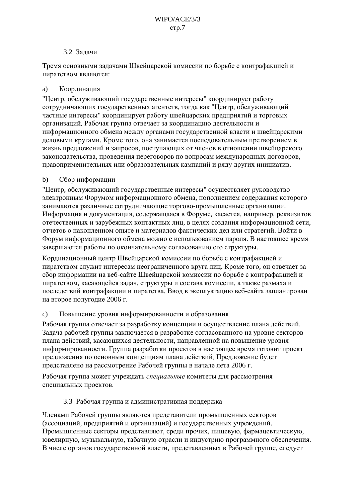## 3.2 Залачи

<span id="page-6-0"></span>Тремя основными задачами Швейцарской комиссии по борьбе с контрафакцией и пиратством являются:

### $a)$ Координация

"Центр, обслуживающий государственные интересы" координирует работу сотрудничающих государственных агентств, тогда как "Центр, обслуживающий частные интересы" координирует работу швейцарских предприятий и торговых организаций. Рабочая группа отвечает за координацию деятельности и информационного обмена между органами государственной власти и швейцарскими деловыми кругами. Кроме того, она занимается последовательным претворением в жизнь предложений и запросов, поступающих от членов в отношении швейцарского законодательства, проведения переговоров по вопросам международных договоров, правоприменительных или образовательных кампаний и ряду других инициатив.

### Сбор информации  $b)$

"Центр, обслуживающий государственные интересы" осуществляет руководство электронным Форумом информационного обмена, пополнением содержания которого занимаются различные сотрудничающие торгово-промышленные организации. Информация и документация, содержащаяся в Форуме, касается, например, реквизитов отечественных и зарубежных контактных лиц, в целях создания информационной сети, отчетов о накопленном опыте и материалов фактических дел или стратегий. Войти в Форум информационного обмена можно с использованием пароля. В настоящее время завершаются работы по окончательному согласованию его структуры.

Кординационный центр Швейцарской комиссии по борьбе с контрафакцией и пиратством служит интересам неограниченного круга лиц. Кроме того, он отвечает за сбор информации на веб-сайте Швейцарской комиссии по борьбе с контрафакцией и пиратством, касающейся задач, структуры и состава комиссии, а также размаха и послелствий контрафакции и пиратства. Ввод в эксплуатацию веб-сайта запланирован на второе полугодие 2006 г.

### Повышение уровня информированности и образования  $\mathbf{c})$

Рабочая группа отвечает за разработку концепции и осуществление плана лействий. Задача рабочей группы заключается в разработке согласованного на уровне секторов плана действий, касающихся деятельности, направленной на повышение уровня информированности. Группа разработки проектов в настоящее время готовит проект предложения по основным концепциям плана действий. Предложение будет представлено на рассмотрение Рабочей группы в начале лета 2006 г.

Рабочая группа может учреждать специальные комитеты для рассмотрения специальных проектов.

### 3.3 Рабочая группа и административная поддержка

Членами Рабочей группы являются представители промышленных секторов (ассоциаций, предприятий и организаций) и государственных учреждений. Промышленные секторы представляют, среди прочих, пищевую, фармацевтическую, ювелирную, музыкальную, табачную отрасли и индустрию программного обеспечения. В числе органов государственной власти, представленных в Рабочей группе, следует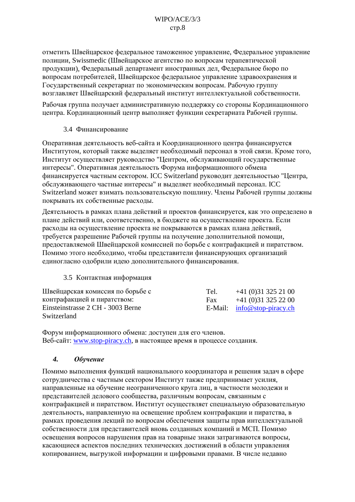<span id="page-7-0"></span>отметить Швейцарское федеральное таможенное управление, Федеральное управление полиции, Swissmedic (Швейцарское агентство по вопросам терапевтической продукции), Федеральный департамент иностранных дел, Федеральное бюро по вопросам потребителей, Швейцарское федеральное управление здравоохранения и Государственный секретариат по экономическим вопросам. Рабочую группу возглавляет Швейцарский федеральный институт интеллектуальной собственности.

Рабочая группа получает административную поддержку со стороны Кординационного центра. Кординационный центр выполняет функции секретариата Рабочей группы.

## 3.4 Финансирование

Оперативная деятельность веб-сайта и Координационного центра финансируется Институтом, который также выделяет необходимый персонал в этой связи. Кроме того, Институт осуществляет руководство "Центром, обслуживающий государственные интересы". Оперативная деятельность Форума информационного обмена финансируется частным сектором. ICC Switzerland руководит деятельностью "Центра, обслуживающего частные интересы" и выделяет необходимый персонал. ICC Switzerland может взимать пользовательскую пошлину. Члены Рабочей группы должны покрывать их собственные расходы.

Деятельность в рамках плана действий и проектов финансируется, как это определено в плане действий или, соответственно, в бюджете на осуществление проекта. Если расходы на осуществление проекта не покрываются в рамках плана действий, требуется разрешение Рабочей группы на получение дополнительной помощи, предоставляемой Швейцарской комиссией по борьбе с контрафакцией и пиратством. Помимо этого необходимо, чтобы представители финансирующих организаций единогласно одобрили идею дополнительного финансирования.

### 3.5 Контактная информация

| Швейцарская комиссия по борьбе с  | Tel. | $+41(0)313252100$             |
|-----------------------------------|------|-------------------------------|
| контрафакцией и пиратством:       | Fax  | $+41(0)313252200$             |
| Einsteinstrasse 2 CH - 3003 Berne |      | E-Mail: $info@stop-piracy.ch$ |
| Switzerland                       |      |                               |

Форум информационного обмена: доступен для его членов. Веб-сайт: www.stop-piracy.ch, в настоящее время в процессе создания.

### $\boldsymbol{4}$ . **Обучение**

Помимо выполнения функций национального координатора и решения задач в сфере сотрудничества с частным сектором Институт также предпринимает усилия, направленные на обучение неограниченного круга лиц, в частности молодежи и представителей делового сообщества, различным вопросам, связанным с контрафакцией и пиратством. Институт осуществляет специальную образовательную деятельность, направленную на освещение проблем контрафакции и пиратства, в рамках проведения лекций по вопросам обеспечения защиты прав интеллектуальной собственности для представителей вновь созданных компаний и МСП. Помимо освещения вопросов нарушения прав на товарные знаки затрагиваются вопросы, касающиеся аспектов последних технических достижений в области управления копированием, выгрузкой информации и цифровыми правами. В числе недавно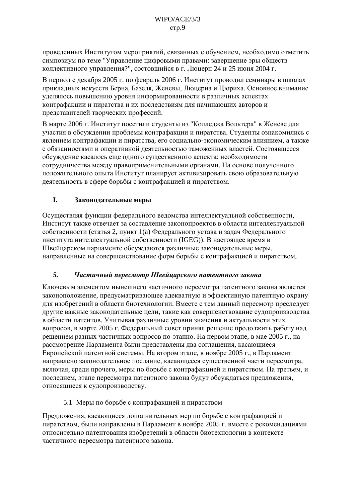<span id="page-8-0"></span>проведенных Институтом мероприятий, связанных с обучением, необходимо отметить симпозиум по теме "Управление цифровыми правами: завершение эры обществ коллективного управления?", состовшийся в г. Люцерн 24 и 25 июня 2004 г.

В период с декабря 2005 г. по февраль 2006 г. Институт проводил семинары в школах прикладных искусств Берна, Базеля, Женевы, Люцерна и Цюриха. Основное внимание уделялось повышению уровня информированности в различных аспектах контрафакции и пиратства и их последствиям для начинающих авторов и представителей творческих профессий.

В марте 2006 г. Институт посетили студенты из "Колледжа Вольтера" в Женеве для участия в обсуждении проблемы контрафакции и пиратства. Студенты ознакомились с явлением контрафакции и пиратства, его социально-экономическим влиянием, а также с обязанностями и оперативной деятельностью таможенных властей. Состоявшееся обсуждение касалось еще одного существенного аспекта: необходимости сотрудничества между правоприменительными органами. На основе полученного положительного опыта Институт планирует активизировать свою образовательную деятельность в сфере борьбы с контрафакцией и пиратством.

### L. Законодательные меры

Осуществляя функции федерального ведомства интеллектуальной собственности, Институт также отвечает за составление законопроектов в области интеллектуальной собственности (статья 2, пункт 1(а) Федерального устава и задач Федерального института интеллектуальной собственности (IGEG)). В настоящее время в Швейцарском парламенте обсуждаются различные законодательные меры, направленные на совершенствование форм борьбы с контрафакцией и пиратством.

### $\overline{5}$ . Частичный пересмотр Швейцарского патентного закона

Ключевым элементом нынешнего частичного пересмотра патентного закона является законоположение, предусматривающее адекватную и эффективную патентную охрану для изобретений в области биотехнологии. Вместе с тем данный пересмотр преследует другие важные законодательные цели, такие как совершенствование судопроизводства в области патентов. Учитывая различные уровни значения и актуальности этих вопросов, в марте 2005 г. Федеральный совет принял решение продолжить работу над решением разных частичных вопросов по-этапно. На первом этапе, в мае 2005 г., на рассмотрение Парламента были представлены два соглашения, касающиеся Европейской патентной системы. На втором этапе, в ноябре 2005 г., в Парламент направлено законодательное послание, касающееся существенной части пересмотра, включая, среди прочего, меры по борьбе с контрафакцией и пиратством. На третьем, и последнем, этапе пересмотра патентного закона будут обсуждаться предложения, относящиеся к судопроизводству.

# 5.1 Меры по борьбе с контрафакцией и пиратством

Предложения, касающиеся дополнительных мер по борьбе с контрафакцией и пиратством, были направлены в Парламент в ноябре 2005 г. вместе с рекомендациями относительно патентования изобретений в области биотехнологии в контексте частичного пересмотра патентного закона.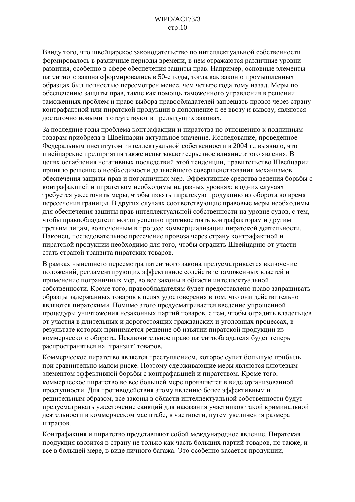Ввиду того, что швейцарское законодательство по интеллектуальной собственности формировалось в различные периоды времени, в нем отражаются различные уровни развития, особенно в сфере обеспечения защиты прав. Например, основные элементы патентного закона сформировались в 50-е годы, тогда как закон о промышленных образцах был полностью пересмотрен менее, чем четыре года тому назад. Меры по обеспечению защиты прав, такие как помощь таможенного управления в решении таможенных проблем и право выбора правообладателей запрешать провоз через страну контрафактной или пиратской продукции в дополнение к ее ввозу и вывозу, являются достаточно новыми и отсутствуют в предыдущих законах.

За послелние голы проблема контрафакции и пиратства по отношению к поллинным товарам приобрела в Швейцарии актуальное значение. Исследование, проведенное Федеральным институтом интеллектуальной собственности в 2004 г., выявило, что швейцарские предприятия также испытывают серьезное влияние этого явления. В целях ослабления негативных последствий этой тенденции, правительство Швейцарии приняло решение о необходимости дальнейшего совершенствования механизмов обеспечения защиты прав и пограничных мер. Эффективные средства ведения борьбы с контрафакцией и пиратством необходимы на разных уровнях: в одних случаях требуется ужесточить меры, чтобы изъять пиратскую продукцию из оборота во время пересечения границы. В других случаях соответствующие правовые меры необходимы для обеспечения защиты прав интеллектуальной собственности на уровне судов, с тем, чтобы правообладатели могли успешно противостоять контрафакторам и другим третьим лицам, вовлеченным в процесс коммерциализации пиратской деятельности. Наконец, последовательное пресечение провоза через страну контрафактной и пиратской продукции необходимо для того, чтобы оградить Швейцарию от участи стать страной транзита пиратских товаров.

В рамках нынешнего пересмотра патентного закона предусматривается включение положений, регламентирующих эффективное содействие таможенных властей и применение пограничных мер, во все законы в области интеллектуальной собственности. Кроме того, правообладателям будет предоставлено право запрашивать образцы задержанных товаров в целях удостоверения в том, что они действительно являются пиратскими. Помимо этого предусматривается введение упрощенной процедуры уничтожения незаконных партий товаров, с тем, чтобы оградить владельцев от участия в длительных и дорогостоящих гражданских и уголовных процессах, в результате которых принимается решение об изъятии пиратской продукции из коммерческого оборота. Исключительное право патентообладателя будет теперь распространяться на 'транзит' товаров.

Коммерческое пиратство является преступлением, которое сулит большую прибыль при сравнительно малом риске. Поэтому сдерживающие меры являются ключевым элементом эффективной борьбы с контрафакцией и пиратством. Кроме того, коммерческое пиратство во все большей мере проявляется в виде организованной преступности. Для противодействия этому явлению более эффективным и решительным образом, все законы в области интеллектуальной собственности будут предусматривать ужесточение санкций для наказания участников такой криминальной деятельности в коммерческом масштабе, в частности, путем увеличения размера штрафов.

Контрафакция и пиратство представляют собой международное явление. Пиратская продукция ввозится в страну не только как часть больших партий товаров, но также, и все в большей мере, в виде личного багажа. Это особенно касается продукции,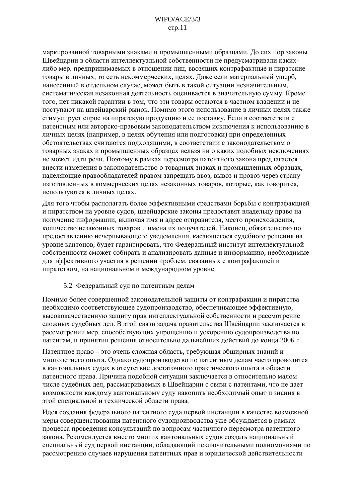<span id="page-10-0"></span>маркированной товарными знаками и промышленными образцами. До сих пор законы Швейцарии в области интеллектуальной собственности не предусматривали какихлибо мер, предпринимаемых в отношении лиц, ввозящих контрафактные и пиратские товары в личных, то есть некоммерческих, целях. Даже если материальный ущерб, нанесенный в отдельном случае, может быть в такой ситуации незначительным, систематическая незаконная деятельность оценивается в значительную сумму. Кроме того, нет никакой гарантии в том, что эти товары остаются в частном владении и не поступают на швейцарский рынок. Помимо этого использование в личных целях также стимулирует спрос на пиратскую продукцию и ее поставку. Если в соответствии с патентным или авторско-правовым законодательством исключения к использованию в личных целях (например, в целях обучения или подготовки) при определенных обстоятельствах считаются подходящими, в соответствии с законодательством о товарных знаках и промышленных образцах нельзя ни о каких подобных исключениях не может идти речи. Поэтому в рамках пересмотра патентного закона предлагается внести изменения в законодательство о товарных знаках и промышленных образцах. наделяющие правообладателей правом запрещать ввоз, вывоз и провоз через страну изготовленных в коммерческих целях незаконных товаров, которые, как говорится, используются в личных целях.

Для того чтобы располагать более эффективными средствами борьбы с контрафакцией и пиратством на уровне судов, швейцарские законы предоставят владельцу право на получение информации, включая имя и адрес отправителя, место происхождения, количество незаконных товаров и имена их получателей. Наконец, обязательство по предоставлению исчерпывающего уведомления, касающегося судебного решения на уровне кантонов, будет гарантировать, что Федеральный институт интеллектуальной собственности сможет собирать и анализировать данные и информацию, необходимые для эффективного участия в решении проблем, связанных с контрафакцией и пиратством, на национальном и международном уровне.

### 5.2 Федеральный суд по патентным делам

Помимо более совершенной законодательной защиты от контрафакции и пиратства необходимо соответствующее судопроизводство, обеспечивающее эффективную, высококачественную защиту прав интеллектуальной собственности и рассмотрение сложных судебных дел. В этой связи задача правительства Швейцарии заключается в рассмотрении мер, способствующих упрощению и ускорению судопроизводства по патентам, и принятии решения относительно дальнейших действий до конца 2006 г.

Патентное право - это очень сложная область, требующая обширных знаний и многолетнего опыта. Однако судопроизводство по патентным делам часто проводится в кантональных судах в отсутствие достаточного практического опыта в области патентного права. Причина подобной ситуации заключается в относительно малом числе судебных дел, рассматриваемых в Швейцарии с связи с патентами, что не дает возможности каждому кантональному суду накопить необходимый опыт и знания в этой специальной и технической области права.

Идея создания федерального патентного суда первой инстанции в качестве возможной меры совершенствования патентного судопроизводства уже обсуждается в рамках процесса проведения консультаций по вопросам частичного пересмотра патентного закона. Рекомендуется вместо многих кантональных судов создать национальный специальный суд первой инстанции, обладающий исключительными полномочиями по рассмотрению случаев нарушения патентных прав и юридической действительности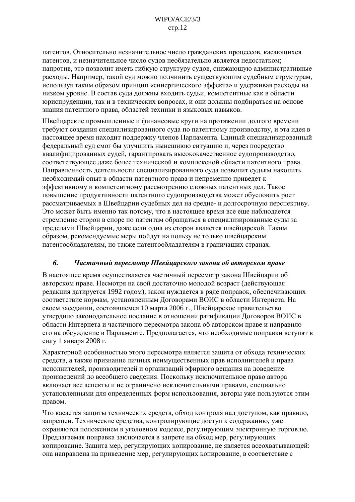<span id="page-11-0"></span>патентов. Относительно незначительное число гражданских процессов, касающихся патентов, и незначительное число судов необязательно является недостатком; напротив, это позволит иметь гибкую структуру судов, снижающую административные расходы. Например, такой суд можно подчинить существующим судебным структурам, используя таким образом принцип «синергического эффекта» и удерживая расходы на низком уровне. В состав суда должны входить судьи, компетентные как в области юриспруденции, так и в технических вопросах, и они должны подбираться на основе знания патентного права, областей техники и языковых навыков.

Швейцарские промышленные и финансовые круги на протяжении долгого времени требуют создания специализированного суда по патентному производству, и эта идея в настоящее время находит поддержку членов Парламента. Единый специализированный федеральный суд смог бы улучшить нынешнюю ситуацию и, через посредство квалифицированных судей, гарантировать высококачественное судопроизводство, соответствующее даже более технической и комплексной области патентного права. Направленность деятельности специализированного суда позволит судьям накопить необходимый опыт в области патентного права и непременно приведет к эффективному и компетентному рассмотрению сложных патентных дел. Такое повышение продуктивности патентного судопроизводства может обусловить рост рассматриваемых в Швейцарии судебных дел на средне- и долгосрочную перспективу. Это может быть именно так потому, что в настоящее время все еще наблюдается стремление сторон в споре по патентам обращаться в специализированные суды за пределами Швейцарии, даже если одна из сторон является швейцарской. Таким образом, рекомендуемые меры пойдут на пользу не только швейцарским патентообладателям, но также патентообладателям в граничащих странах.

### 6. Частичный пересмотр Швейцарского закона об авторском праве

В настоящее время осуществляется частичный пересмотр закона Швейцарии об авторском праве. Несмотря на свой достаточно молодой возраст (действующая редакция датируется 1992 годом), закон нуждается в ряде поправок, обеспечивающих соответствие нормам, установленным Договорами ВОИС в области Интернета. На своем заседании, состоявшемся 10 марта 2006 г., Швейцарское правительство утвердило законодательное послание в отношении ратификации Договоров ВОИС в области Интернета и частичного пересмотра закона об авторском праве и направило его на обсуждение в Парламенте. Предполагается, что необходимые поправки вступят в силу 1 января 2008 г.

Характерной особенностью этого пересмотра является защита от обхода технических средств, а также признание личных неимущественных прав исполнителей и права исполнителей, производителей и организаций эфирного вещания на доведение произведений до всеобщего сведения. Поскольку исключительное право автора включает все аспекты и не ограничено исключительными правами, специально установленными для определенных форм использования, авторы уже пользуются этим правом.

Что касается защиты технических средств, обход контроля над доступом, как правило, запрещен. Технические средства, контролирующие доступ к содержанию, уже охраняются положением в уголовном кодексе, регулирующим электронную торговлю. Предлагаемая поправка заключается в запрете на обход мер, регулирующих копирование. Защита мер, регулирующих копирование, не является всеохватывающей: она направлена на приведение мер, регулирующих копирование, в соответствие с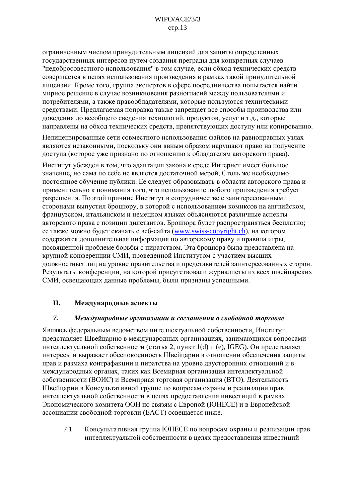<span id="page-12-0"></span>ограниченным числом принудительным лицензий для защиты определенных государственных интересов путем создания преграды для конкретных случаев "недобросовестного использования" в том случае, если обход технических средств совершается в целях использования произведения в рамках такой принудительной лицензии. Кроме того, группа экспертов в сфере посредничества попытается найти мирное решение в случае возникновения разногласий между пользователями и потребителями, а также правообладателями, которые пользуются техническими средствами. Предлагаемая поправка также запрещает все способы производства или доведения до всеобщего сведения технологий, продуктов, услуг и т.д., которые направлены на обход технических средств, препятствующих доступу или копированию.

Нелицензированные сети совместного использования файлов на равноправных узлах являются незаконными, поскольку они явным образом нарушают право на получение лоступа (которое уже признано по отношению к обладателям авторского права).

Институт убежден в том, что адаптация закона к среде Интернет имеет большое значение, но сама по себе не является достаточной мерой. Столь же необходимо постоянное обучение публики. Ее следует образовывать в области авторского права и применительно к понимания того, что использование любого произведения требует разрешения. По этой причине Институт в сотрудничестве с заинтересованными сторонами выпустил брошюру, в которой с использованием комиксов на английском, французском, итальянском и немецком языках объясняются различные аспекты авторского права с позиции дилетантов. Брошюра будет распространяться бесплатно; ее также можно будет скачать с веб-сайта (www.swiss-copyright.ch), на котором содержится дополнительная информация по авторскому праву и правила игры. посвященной проблеме борьбы с пиратством. Эта брошюра была представлена на крупной конференции СМИ, проведенной Институтом с участием высших должностных лиц на уровне правительства и представителей заинтересованных сторон. Результаты конференции, на которой присутствовали журналисты из всех швейцарских СМИ, освещающих данные проблемы, были признаны успешными.

### II. Международные аспекты

### $\overline{z}$ Международные организации и соглашения о свободной торговле

Являясь федеральным ведомством интеллектуальной собственности, Институт представляет Швейцарию в международных организациях, занимающихся вопросами интеллектуальной собственности (статья 2, пункт 1(d) и (e), IGEG). Он представляет интересы и выражает обеспокоенность Швейцарии в отношении обеспечения защиты прав и размаха контрафакции и пиратства на уровне двусторонних отношений и в международных органах, таких как Всемирная организация интеллектуальной собственности (ВОИС) и Всемирная торговая организация (ВТО). Деятельность Швейцарии в Консультативной группе по вопросам охраны и реализации прав интеллектуальной собственности в целях предоставления инвестиций в рамках Экономического комитета ООН по связям с Европой (ЮНЕСЕ) и в Европейской ассоциации свободной торговли (ЕАСТ) освещается ниже.

 $71$ Консультативная группа ЮНЕСЕ по вопросам охраны и реализации прав интеллектуальной собственности в целях предоставления инвестиций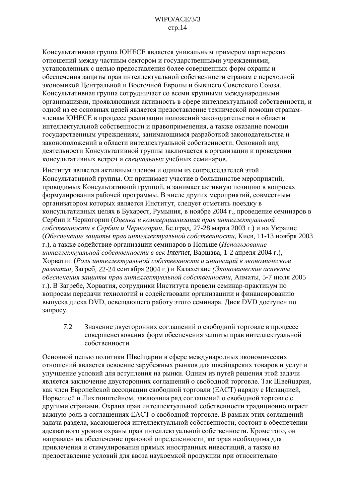<span id="page-13-0"></span>Консультативная группа ЮНЕСЕ является уникальным примером партнерских отношений между частным сектором и государственными учреждениями, установленных с целью предоставления более совершенных форм охраны и обеспечения защиты прав интеллектуальной собственности странам с переходной экономикой Центральной и Восточной Европы и бывшего Советского Союза. Консультативная группа сотрудничает со всеми крупными международными организациями, проявляющими активность в сфере интеллектуальной собственности, и одной из ее основных целей является предоставление технической помощи странамчленам ЮНЕСЕ в процессе реализации положений законодательства в области интеллектуальной собственности и правоприменения, а также оказание помощи государственным учреждениям, занимающимся разработкой законодательства и законоположений в области интеллектуальной собственности. Основной вид деятельности Консультативной группы заключается в организации и проведении консультативных встреч и специальных учебных семинаров.

Институт является активным членом и одним из сопредседателей этой Консультативной группы. Он принимает участие в большинстве мероприятий, проводимых Консультативной группой, и занимает активную позицию в вопросах формулирования рабочей программы. В числе других мероприятий, совместным организатором которых является Институт, следует отметить поездку в консультативных целях в Бухарест, Румыния, в ноябре 2004 г., проведение семинаров в Сербии и Черногории (Оценка и коммерциализация прав интеллектуальной собственности в Сербии и Черногории, Белград, 27-28 марта 2003 г.) и на Украине (Обеспечение защиты прав интеллектуальной собственности, Киев, 11-13 ноября 2003 г.), а также содействие организации семинаров в Польше (Использование интеллектуальной собственности в век Internet, Варшава, 1-2 апреля 2004 г.), Хорватии (Роль интеллектуальной собственности и инноваций в экономическом развитии, Загреб, 22-24 сентября 2004 г.) и Казахстане (Экономические аспекты обеспечения защиты прав интеллектуальной собственности, Алматы, 5-7 июля 2005 г.). В Загребе, Хорватия, сотрудники Института провели семинар-практикум по вопросам передачи технологий и содействовали организациии и финансированию выпуска диска DVD, освещающего работу этого семинара. Диск DVD доступен по запросу.

 $7.2$ Значение двусторонних соглашений о свободной торговле в процессе совершенствования форм обеспечения защиты прав интеллектуальной собственности

Основной целью политики Швейцарии в сфере международных экономических отношений является освоение зарубежных рынков для швейцарских товаров и услуг и улучшение условий для вступления на рынки. Одним из путей решения этой задачи является заключение двусторонних соглашений о свободной торговле. Так Швейцария, как член Европейской ассоциации свободной торговли (ЕАСТ) наряду с Исландией, Норвегией и Лихтинштейном, заключила ряд соглашений о свободной торговле с другими странами. Охрана прав интеллектуальной собственности традиционно играет важную роль в соглашениях ЕАСТ о свободной торговле. В рамках этих соглашений задача раздела, касающегося интеллектуальной собственности, состоит в обеспечении адекватного уровня охраны прав интеллектуальной собственности. Кроме того, он направлен на обеспечение правовой определенности, которая необходима для привлечения и стимулирования прямых иностранных инвестиций, а также на предоставление условий для ввоза наукоемкой продукции при относительно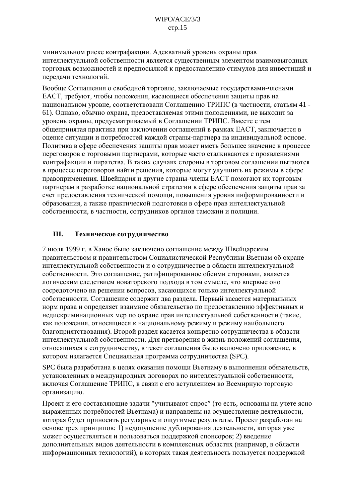<span id="page-14-0"></span>минимальном риске контрафакции. Адекватный уровень охраны прав интеллектуальной собственности является существенным элементом взаимовыгодных торговых возможностей и предпосылкой к предоставлению стимулов для инвестиций и передачи технологий.

Вообще Соглашения о свободной торговле, заключаемые государствами-членами ЕАСТ, требуют, чтобы положения, касающиеся обеспечения защиты прав на национальном уровне, соответствовали Соглашению ТРИПС (в частности, статьям 41 -61). Однако, обычно охрана, предоставляемая этими положениями, не выходит за уровень охраны, предусматриваемый в Соглашении ТРИПС. Вместе с тем общепринятая практика при заключении соглашений в рамках ЕАСТ, заключается в оценке ситуации и потребностей каждой страны-партнера на индивидуальной основе. Политика в сфере обеспечения защиты прав может иметь большее значение в процессе переговоров с торговыми партнерами, которые часто сталкиваются с проявлениями контрафакции и пиратства. В таких случаях стороны в торговом соглашении пытаются в процессе переговоров найти решения, которые могут улучшить их режимы в сфере правоприменения. Швейцария и другие страны-члены ЕАСТ помогают их торговым партнерам в разработке национальной стратегии в сфере обеспечения защиты прав за счет предоставления технической помощи, повышения уровня информированности и образования, а также практической подготовки в сфере прав интеллектуальной собственности, в частности, сотрудников органов таможни и полиции.

### III. Техническое сотрудничество

7 июля 1999 г. в Ханое было заключено соглашение между Швейцарским правительством и правительством Социалистической Республики Вьетнам об охране интеллектуальной собственности и о сотрудничестве в области интеллектуальной собственности. Это соглашение, ратифицированное обеими сторонами, является логическим следствием новаторского подхода в том смысле, что впервые оно сосредоточено на решении вопросов, касающихся только интеллектуальной собственности. Соглашение содержит два раздела. Первый касается материальных норм права и определяет взаимное обязательство по предоставлению эффективных и недискриминационных мер по охране прав интеллектуальной собственности (такие, как положения, относящиеся к национальному режиму и режиму наибольшего благоприятствования). Второй раздел касается конкретно сотрудничества в области интеллектуальной собственности. Для претворения в жизнь положений соглашения, относящихся к сотрудничеству, в текст соглашения было включено приложение, в котором излагается Специальная программа сотрудничества (SPC).

SPC была разработана в целях оказания помощи Вьетнаму в выполнении обязательств, установленных в международных договорах по интеллектуальной собственности, включая Соглашение ТРИПС, в связи с его вступлением во Всемирную торговую организацию.

Проект и его составляющие задачи "учитывают спрос" (то есть, основаны на учете ясно выраженных потребностей Вьетнама) и направлены на осуществление деятельности, которая будет приносить регулярные и ощутимые результаты. Проект разработан на основе трех принципов: 1) недопущение дублирования деятельности, которая уже может осуществляться и пользоваться поддержкой спонсоров; 2) введение дополнительных видов деятельности в комплексных областях (например, в области информационных технологий), в которых такая деятельность пользуется поддержкой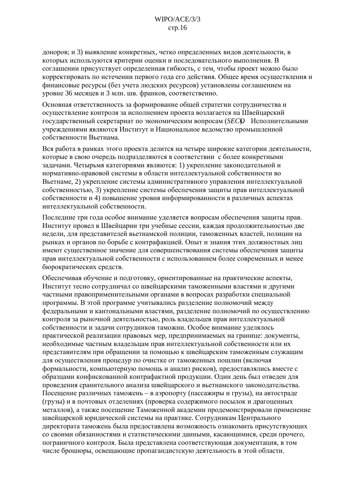доноров; и 3) выявление конкретных, четко определенных видов деятельности, в которых используются критерии оценки и последовательного выполнения. В соглашении присутствует определенная гибкость, с тем, чтобы проект можно было корректировать по истечении первого года его действия. Общее время осуществления и финансовые ресурсы (без учета людских ресурсов) установлены соглашением на уровне 36 месяцев и 3 млн. шв. франков, соответственно.

Основная ответственность за формирование общей стратегии сотрудничества и осуществление контроля за исполнением проекта возлагается на Швейцарский государственный секретариат по экономическим вопросам (SECO Исполнительными учреждениями являются Институт и Национальное веломство промышленной собственности Вьетнама.

Вся работа в рамках этого проекта делится на четыре широкие категории деятельности, которые в свою очередь подразделяются в соответствии с более конкретными задачами. Четырьмя категориями являются: 1) укрепление законодательной и нормативно-правовой системы в области интеллектуальной собственности во Вьетнаме, 2) укрепление системы административного управления интеллектуальной собственностью, 3) укрепление системы обеспечения защиты прав интеллектуальной собственности и 4) повышение уровня информированности в различных аспектах интеллектуальной собственности.

Последние три года особое внимание уделяется вопросам обеспечения защиты прав. Институт провел в Швейнарии три учебные сессии, кажлая прололжительностью лве нелели, для представителей вьетнамской полиции, таможенных властей, полиции на рынках и органов по борьбе с контрафакцией. Опыт и знания этих должностных лиц имеют существенное значение для совершенствования системы обеспечения защиты прав интеллектуальной собственности с использованием более современных и менее бюрократических средств.

Обеспечивая обучение и подготовку, ориентированные на практические аспекты, Институт тесно сотрудничал со швейцарскими таможенными властями и другими частными правоприменительными органами в вопросах разработки специальной программы. В этой программе учитывались разделение полномочий между федеральными и кантональными властями, разделение полномочий по осуществлению контроля за рыночной деятельностью, роль владельцев прав интеллектуальной собственности и задачи сотрудников таможни. Особое внимание уделялось практической реализации правовых мер, предпринимаемых на границе: документы, необходимые частным владельцам прав интеллектуальной собственности или их представителям при обращении за помощью к швейцарским таможенным служащим для осуществления процедур по очистке от таможенных пошлин (включая формальности, компьютерную помощь и анализ рисков), предоставлялись вместе с образцами конфискованной контрафактной продукции. Один день был отведен для провеления сранительного анализа швейцарского и вьетнамского законодательства. Посещение различных таможень – в аэропорту (пассажиры и грузы), на автостраде (грузы) и в почтовых отделениях (проверка содержимого посылок и драгоценных металлов), а также посещение Таможенной академии продемонстрировали применение швейцарской юридической системы на практике. Сотрудникам Центрального директората таможень была предоставлена возможность ознакомить присутствующих со своими обязанностями и статистическими данными, касающимися, среди прочего, пограничного контроля. Была представлена соответствующая документация, в том числе брошюры, освещающие пропагандистскую деятельность в этой области.